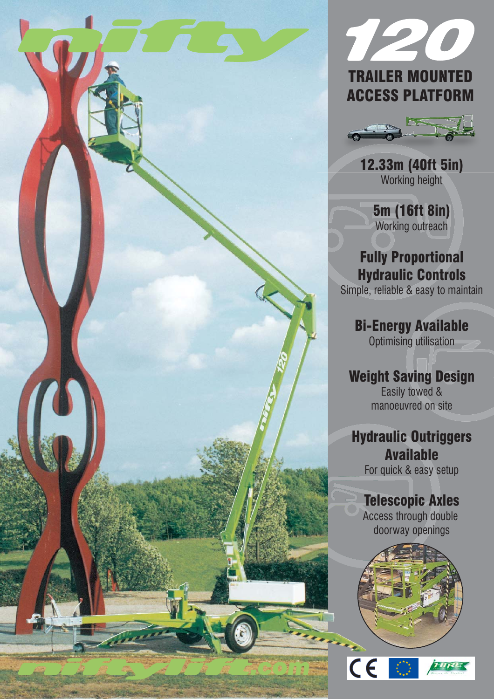





12.33m (40ft 5in) Working height

5m (16ft 8in) Working outreach

### Fully Proportional Hydraulic Controls

Simple, reliable & easy to maintain

Bi-Energy Available Optimising utilisation

Weight Saving Design Easily towed & manoeuvred on site

## Hydraulic Outriggers Available

For quick & easy setup

# Telescopic Axles

Access through double doorway openings